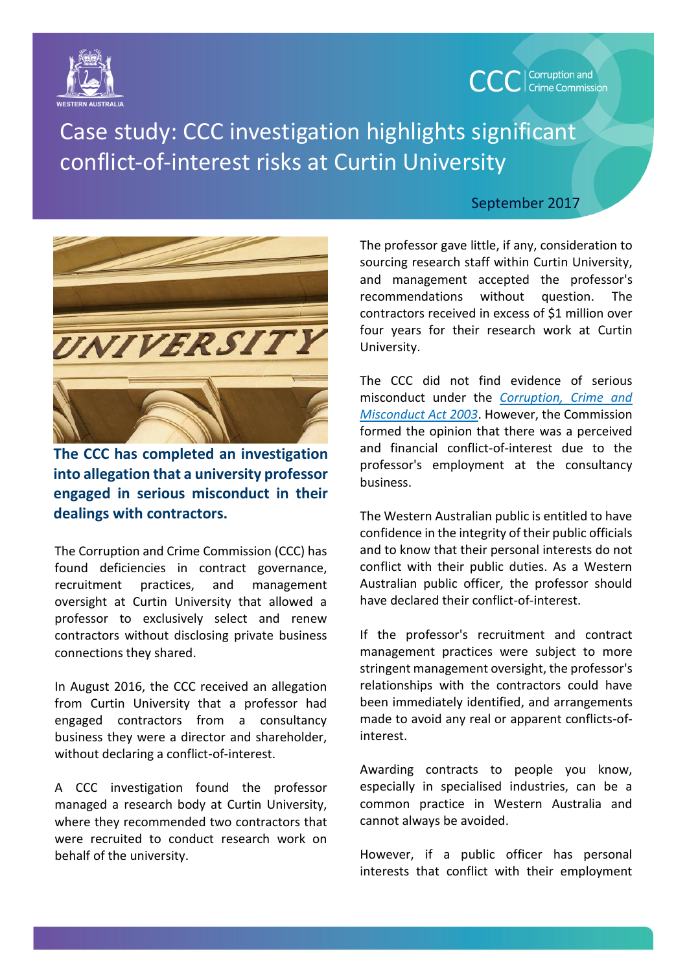



Case study: CCC investigation highlights significant conflict-of-interest risks at Curtin University



**The CCC has completed an investigation into allegation that a university professor engaged in serious misconduct in their dealings with contractors.**

The Corruption and Crime Commission (CCC) has found deficiencies in contract governance, recruitment practices, and management oversight at Curtin University that allowed a professor to exclusively select and renew contractors without disclosing private business connections they shared.

In August 2016, the CCC received an allegation from Curtin University that a professor had engaged contractors from a consultancy business they were a director and shareholder, without declaring a conflict-of-interest.

A CCC investigation found the professor managed a research body at Curtin University, where they recommended two contractors that were recruited to conduct research work on behalf of the university.

## September 2017

The professor gave little, if any, consideration to sourcing research staff within Curtin University, and management accepted the professor's recommendations without question. The contractors received in excess of \$1 million over four years for their research work at Curtin University.

The CCC did not find evidence of serious misconduct under the *[Corruption, Crime and](https://www.slp.wa.gov.au/legislation/statutes.nsf/main_mrtitle_207_homepage.html)  [Misconduct Act 2003](https://www.slp.wa.gov.au/legislation/statutes.nsf/main_mrtitle_207_homepage.html)*. However, the Commission formed the opinion that there was a perceived and financial conflict-of-interest due to the professor's employment at the consultancy business.

The Western Australian public is entitled to have confidence in the integrity of their public officials and to know that their personal interests do not conflict with their public duties. As a Western Australian public officer, the professor should have declared their conflict-of-interest.

If the professor's recruitment and contract management practices were subject to more stringent management oversight, the professor's relationships with the contractors could have been immediately identified, and arrangements made to avoid any real or apparent conflicts-ofinterest.

Awarding contracts to people you know, especially in specialised industries, can be a common practice in Western Australia and cannot always be avoided.

However, if a public officer has personal interests that conflict with their employment

|<br>|-